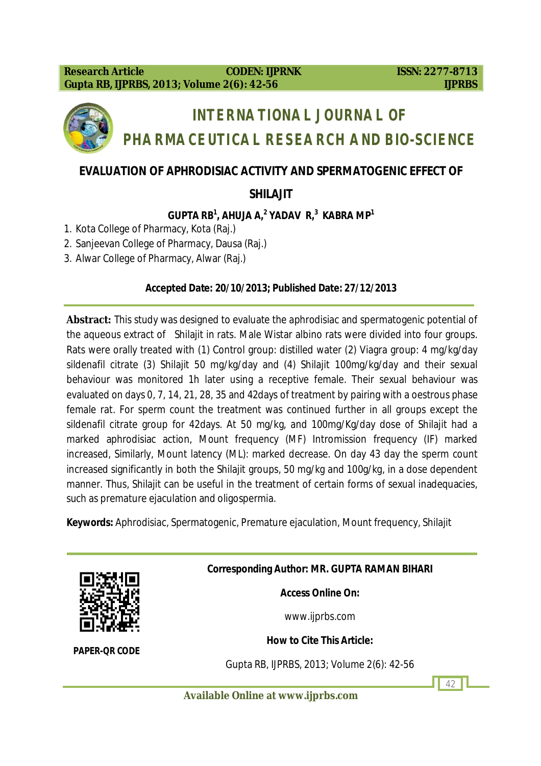

# **INTERNATIONAL JOURNAL OF PHARMACEUTICAL RESEARCH AND BIO-SCIENCE**

# **EVALUATION OF APHRODISIAC ACTIVITY AND SPERMATOGENIC EFFECT OF**

**SHILAJIT**

# **GUPTA RB<sup>1</sup> , AHUJA A, 2 YADAV R, 3 KABRA MP 1**

- 1. Kota College of Pharmacy, Kota (Raj.)
- 2. Sanjeevan College of Pharmacy, Dausa (Raj.)
- 3. Alwar College of Pharmacy, Alwar (Raj.)

#### **Accepted Date: 20/10/2013; Published Date: 27/12/2013**

**Abstract:** This study was designed to evaluate the aphrodisiac and spermatogenic potential of the aqueous extract of Shilajit in rats. Male Wistar albino rats were divided into four groups. Rats were orally treated with (1) Control group: distilled water (2) Viagra group: 4 mg/kg/day sildenafil citrate (3) Shilajit 50 mg/kg/day and (4) Shilajit 100mg/kg/day and their sexual behaviour was monitored 1h later using a receptive female. Their sexual behaviour was evaluated on days 0, 7, 14, 21, 28, 35 and 42days of treatment by pairing with a oestrous phase female rat. For sperm count the treatment was continued further in all groups except the sildenafil citrate group for 42days. At 50 mg/kg, and 100mg/Kg/day dose of Shilajit had a marked aphrodisiac action, Mount frequency (MF) Intromission frequency (IF) marked increased, Similarly, Mount latency (ML): marked decrease. On day 43 day the sperm count increased significantly in both the Shilajit groups, 50 mg/kg and 100g/kg, in a dose dependent manner. Thus, Shilajit can be useful in the treatment of certain forms of sexual inadequacies, such as premature ejaculation and oligospermia.

**Keywords:** Aphrodisiac, Spermatogenic, Premature ejaculation, Mount frequency, Shilajit



*PAPER-QR CODE*

**Corresponding Author: MR. GUPTA RAMAN BIHARI**

**Access Online On:**

www.ijprbs.com

**How to Cite This Article:**

Gupta RB, IJPRBS, 2013; Volume 2(6): 42-56

42

**Available Online at www.ijprbs.com**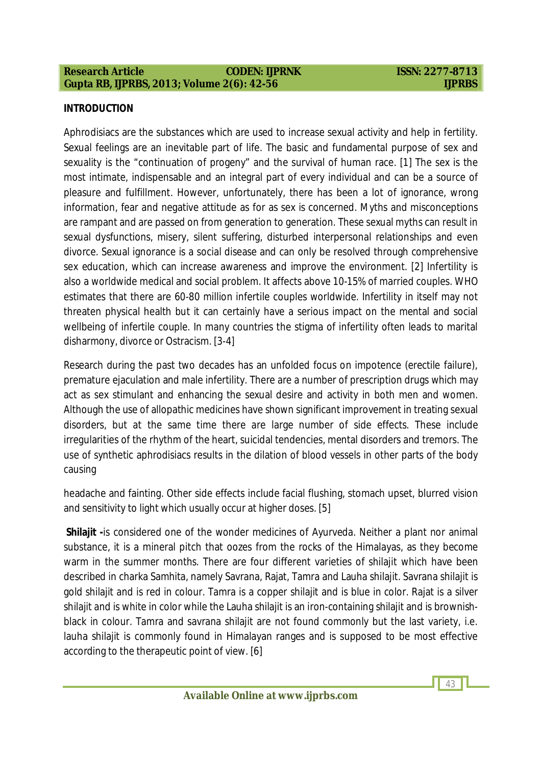43

#### **INTRODUCTION**

Aphrodisiacs are the substances which are used to increase sexual activity and help in fertility. Sexual feelings are an inevitable part of life. The basic and fundamental purpose of sex and sexuality is the "continuation of progeny" and the survival of human race. [1] The sex is the most intimate, indispensable and an integral part of every individual and can be a source of pleasure and fulfillment. However, unfortunately, there has been a lot of ignorance, wrong information, fear and negative attitude as for as sex is concerned. Myths and misconceptions are rampant and are passed on from generation to generation. These sexual myths can result in sexual dysfunctions, misery, silent suffering, disturbed interpersonal relationships and even divorce. Sexual ignorance is a social disease and can only be resolved through comprehensive sex education, which can increase awareness and improve the environment. [2] Infertility is also a worldwide medical and social problem. It affects above 10-15% of married couples. WHO estimates that there are 60-80 million infertile couples worldwide. Infertility in itself may not threaten physical health but it can certainly have a serious impact on the mental and social wellbeing of infertile couple. In many countries the stigma of infertility often leads to marital disharmony, divorce or Ostracism. [3-4]

Research during the past two decades has an unfolded focus on impotence (erectile failure), premature ejaculation and male infertility. There are a number of prescription drugs which may act as sex stimulant and enhancing the sexual desire and activity in both men and women. Although the use of allopathic medicines have shown significant improvement in treating sexual disorders, but at the same time there are large number of side effects. These include irregularities of the rhythm of the heart, suicidal tendencies, mental disorders and tremors. The use of synthetic aphrodisiacs results in the dilation of blood vessels in other parts of the body causing

headache and fainting. Other side effects include facial flushing, stomach upset, blurred vision and sensitivity to light which usually occur at higher doses. [5]

**Shilajit -**is considered one of the wonder medicines of Ayurveda. Neither a plant nor animal substance, it is a mineral pitch that oozes from the rocks of the Himalayas, as they become warm in the summer months. There are four different varieties of shilajit which have been described in charka Samhita, namely Savrana, Rajat, Tamra and Lauha shilajit. Savrana shilajit is gold shilajit and is red in colour. Tamra is a copper shilajit and is blue in color. Rajat is a silver shilajit and is white in color while the Lauha shilajit is an iron-containing shilajit and is brownishblack in colour. Tamra and savrana shilajit are not found commonly but the last variety, i.e. lauha shilajit is commonly found in Himalayan ranges and is supposed to be most effective according to the therapeutic point of view. [6]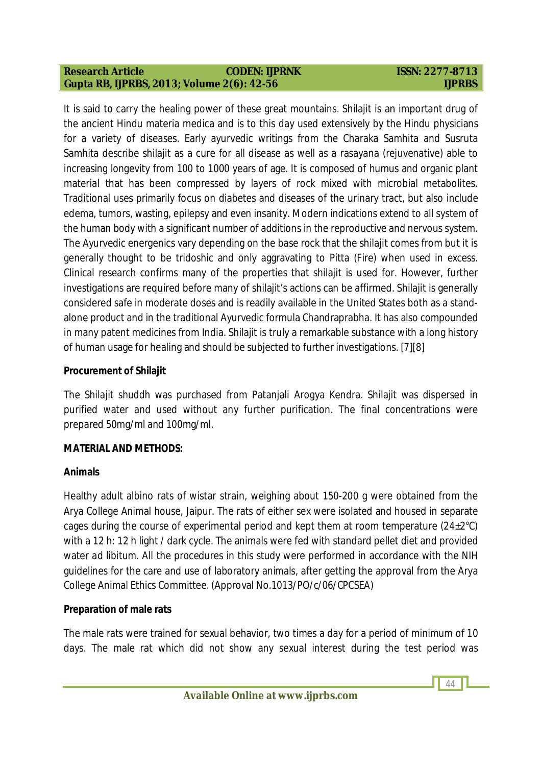It is said to carry the healing power of these great mountains. Shilajit is an important drug of the ancient Hindu materia medica and is to this day used extensively by the Hindu physicians for a variety of diseases. Early ayurvedic writings from the Charaka Samhita and Susruta Samhita describe shilajit as a cure for all disease as well as a rasayana (rejuvenative) able to increasing longevity from 100 to 1000 years of age. It is composed of humus and organic plant material that has been compressed by layers of rock mixed with microbial metabolites. Traditional uses primarily focus on diabetes and diseases of the urinary tract, but also include edema, tumors, wasting, epilepsy and even insanity. Modern indications extend to all system of the human body with a significant number of additions in the reproductive and nervous system. The Ayurvedic energenics vary depending on the base rock that the shilajit comes from but it is generally thought to be tridoshic and only aggravating to Pitta (Fire) when used in excess. Clinical research confirms many of the properties that shilajit is used for. However, further investigations are required before many of shilajit's actions can be affirmed. Shilajit is generally considered safe in moderate doses and is readily available in the United States both as a standalone product and in the traditional Ayurvedic formula Chandraprabha. It has also compounded in many patent medicines from India. Shilajit is truly a remarkable substance with a long history of human usage for healing and should be subjected to further investigations. [7][8]

### **Procurement of Shilajit**

The *Shilajit shuddh* was purchased from Patanjali Arogya Kendra. Shilajit was dispersed in purified water and used without any further purification. The final concentrations were prepared 50mg/ml and 100mg/ml.

### **MATERIAL AND METHODS:**

### **Animals**

Healthy adult albino rats of wistar strain, weighing about 150-200 g were obtained from the Arya College Animal house, Jaipur. The rats of either sex were isolated and housed in separate cages during the course of experimental period and kept them at room temperature  $(24\pm2^{\circ}C)$ with a 12 h: 12 h light / dark cycle. The animals were fed with standard pellet diet and provided water *ad libitum.* All the procedures in this study were performed in accordance with the NIH guidelines for the care and use of laboratory animals, after getting the approval from the Arya College Animal Ethics Committee. (Approval No.1013/PO/c/06/CPCSEA)

### **Preparation of male rats**

The male rats were trained for sexual behavior, two times a day for a period of minimum of 10 days. The male rat which did not show any sexual interest during the test period was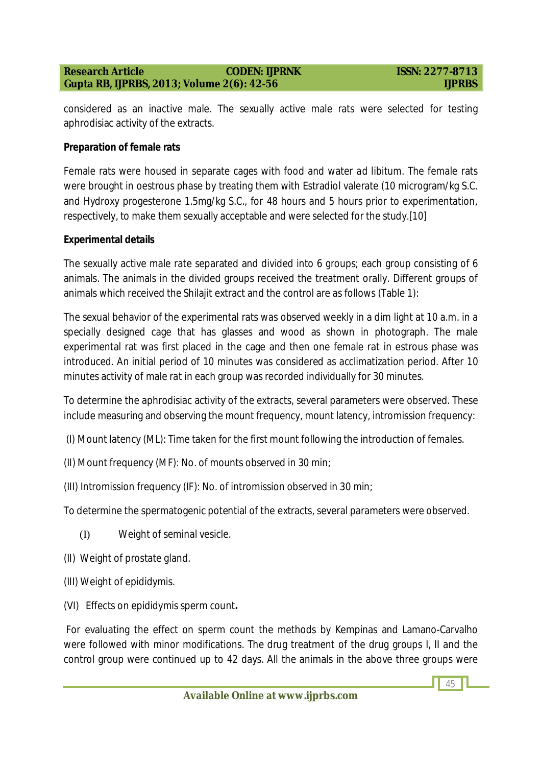considered as an inactive male. The sexually active male rats were selected for testing aphrodisiac activity of the extracts.

#### **Preparation of female rats**

Female rats were housed in separate cages with food and water *ad libitum*. The female rats were brought in oestrous phase by treating them with Estradiol valerate (10 microgram/kg S.C. and Hydroxy progesterone 1.5mg/kg S.C., for 48 hours and 5 hours prior to experimentation, respectively, to make them sexually acceptable and were selected for the study.[10]

#### **Experimental details**

The sexually active male rate separated and divided into 6 groups; each group consisting of 6 animals. The animals in the divided groups received the treatment orally. Different groups of animals which received the Shilajit extract and the control are as follows (Table 1):

The sexual behavior of the experimental rats was observed weekly in a dim light at 10 a.m. in a specially designed cage that has glasses and wood as shown in photograph. The male experimental rat was first placed in the cage and then one female rat in estrous phase was introduced. An initial period of 10 minutes was considered as acclimatization period. After 10 minutes activity of male rat in each group was recorded individually for 30 minutes.

To determine the aphrodisiac activity of the extracts, several parameters were observed. These include measuring and observing the mount frequency, mount latency, intromission frequency:

- (I) Mount latency (ML): Time taken for the first mount following the introduction of females.
- (II) Mount frequency (MF): No. of mounts observed in 30 min;
- (III) Intromission frequency (IF): No. of intromission observed in 30 min;

To determine the spermatogenic potential of the extracts, several parameters were observed.

- (I) Weight of seminal vesicle.
- (II) Weight of prostate gland.
- (III) Weight of epididymis.
- (VI) Effects on epididymis sperm count**.**

For evaluating the effect on sperm count the methods by Kempinas and Lamano-Carvalho were followed with minor modifications. The drug treatment of the drug groups I, II and the control group were continued up to 42 days. All the animals in the above three groups were

45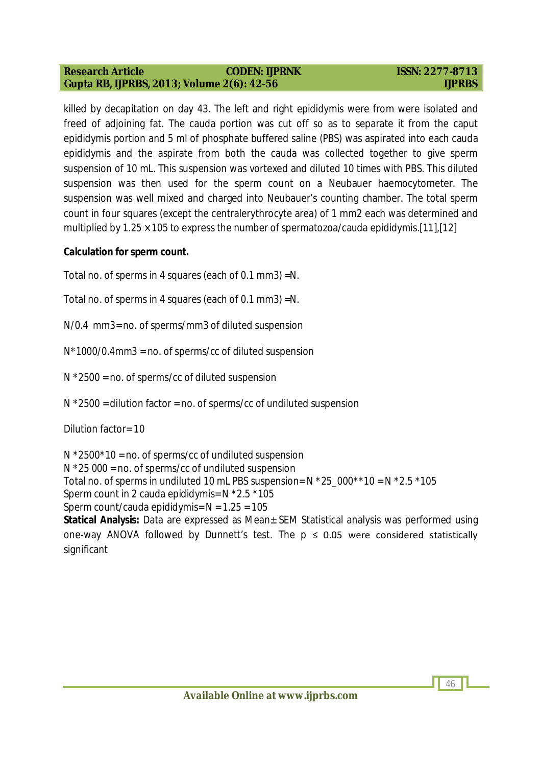46

killed by decapitation on day 43. The left and right epididymis were from were isolated and freed of adjoining fat. The cauda portion was cut off so as to separate it from the caput epididymis portion and 5 ml of phosphate buffered saline (PBS) was aspirated into each cauda epididymis and the aspirate from both the cauda was collected together to give sperm suspension of 10 mL. This suspension was vortexed and diluted 10 times with PBS. This diluted suspension was then used for the sperm count on a Neubauer haemocytometer. The suspension was well mixed and charged into Neubauer's counting chamber. The total sperm count in four squares (except the centralerythrocyte area) of 1 mm2 each was determined and multiplied by 1.25 × 105 to express the number of spermatozoa/cauda epididymis.[11],[12]

#### **Calculation for sperm count.**

Total no. of sperms in 4 squares (each of 0.1 mm3) =*N.*

Total no. of sperms in 4 squares (each of 0.1 mm3) =*N.*

*N/*0.4 mm3= no. of sperms/mm3 of diluted suspension

*N*\*1000/0.4mm3 = no. of sperms/cc of diluted suspension

*N* \*2500 = no. of sperms/cc of diluted suspension

*N* \*2500 = dilution factor = no. of sperms/cc of undiluted suspension

#### Dilution factor= 10

*N* \*2500\*10 = no. of sperms/cc of undiluted suspension

*N* \*25 000 = no. of sperms/cc of undiluted suspension

Total no. of sperms in undiluted 10 mL PBS suspension= *N* \*25\_000\*\*10 = *N* \*2.5 \*105

Sperm count in 2 cauda epididymis= *N* \*2.5 \*105

Sperm count/cauda epididymis= *N* = 1.25 = 105

**Statical Analysis:** Data are expressed as Mean $\pm$  SEM Statistical analysis was performed using one-way ANOVA followed by Dunnett's test. The  $p \le 0.05$  were considered statistically significant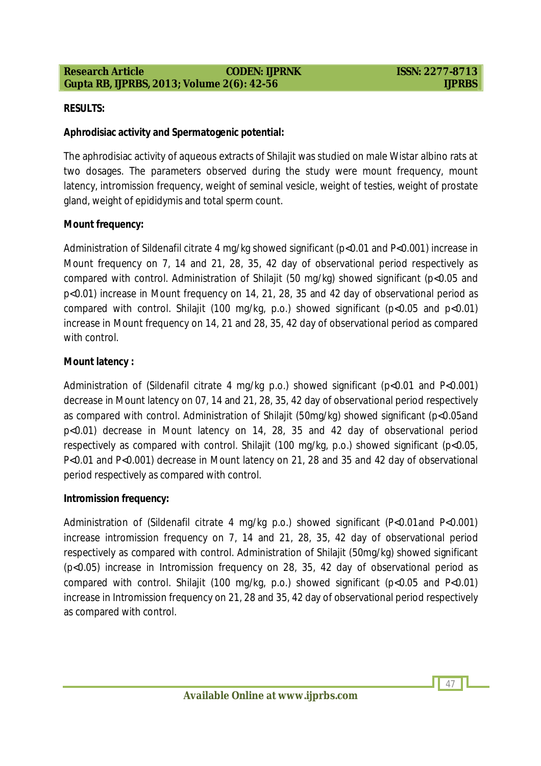47

#### **RESULTS:**

#### **Aphrodisiac activity and Spermatogenic potential:**

The aphrodisiac activity of aqueous extracts of Shilajit was studied on male Wistar albino rats at two dosages. The parameters observed during the study were mount frequency, mount latency, intromission frequency, weight of seminal vesicle, weight of testies, weight of prostate gland, weight of epididymis and total sperm count.

#### **Mount frequency:**

Administration of Sildenafil citrate 4 mg/kg showed significant (p<0.01 and P<0.001) increase in Mount frequency on 7, 14 and 21, 28, 35, 42 day of observational period respectively as compared with control. Administration of Shilajit (50 mg/kg) showed significant (p<0.05 and p<0.01) increase in Mount frequency on 14, 21, 28, 35 and 42 day of observational period as compared with control. Shilajit (100 mg/kg, p.o.) showed significant ( $p < 0.05$  and  $p < 0.01$ ) increase in Mount frequency on 14, 21 and 28, 35, 42 day of observational period as compared with control.

#### **Mount latency :**

Administration of (Sildenafil citrate 4 mg/kg p.o.) showed significant (p<0.01 and P<0.001) decrease in Mount latency on 07, 14 and 21, 28, 35, 42 day of observational period respectively as compared with control. Administration of Shilajit (50mg/kg) showed significant (p<0.05and p<0.01) decrease in Mount latency on 14, 28, 35 and 42 day of observational period respectively as compared with control. Shilajit (100 mg/kg, p.o.) showed significant (p<0.05, P<0.01 and P<0.001) decrease in Mount latency on 21, 28 and 35 and 42 day of observational period respectively as compared with control.

#### **Intromission frequency:**

Administration of (Sildenafil citrate 4 mg/kg p.o.) showed significant (P<0.01and P<0.001) increase intromission frequency on 7, 14 and 21, 28, 35, 42 day of observational period respectively as compared with control. Administration of Shilajit (50mg/kg) showed significant (p<0.05) increase in Intromission frequency on 28, 35, 42 day of observational period as compared with control. Shilajit (100 mg/kg, p.o.) showed significant (p<0.05 and P<0.01) increase in Intromission frequency on 21, 28 and 35, 42 day of observational period respectively as compared with control.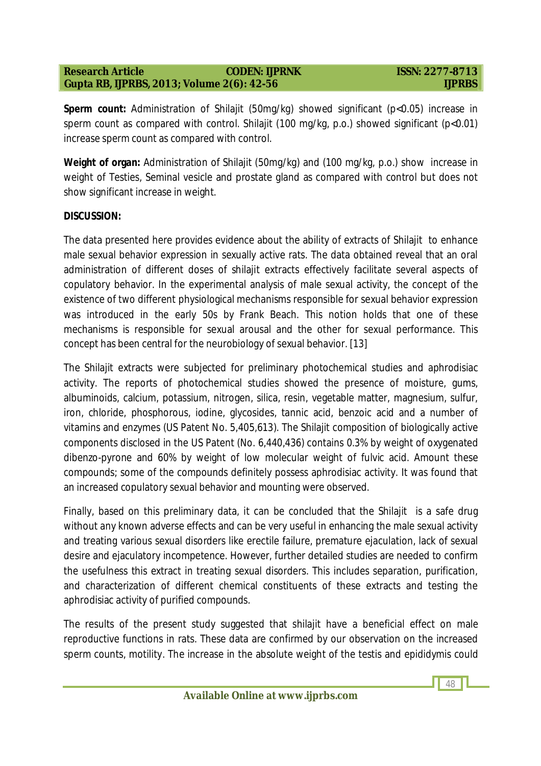**Sperm count:** Administration of Shilajit (50mg/kg) showed significant (p<0.05) increase in sperm count as compared with control. Shilajit (100 mg/kg, p.o.) showed significant (p<0.01) increase sperm count as compared with control.

**Weight of organ:** Administration of Shilajit (50mg/kg) and (100 mg/kg, p.o.) show increase in weight of Testies, Seminal vesicle and prostate gland as compared with control but does not show significant increase in weight.

#### **DISCUSSION:**

The data presented here provides evidence about the ability of extracts of Shilajit to enhance male sexual behavior expression in sexually active rats. The data obtained reveal that an oral administration of different doses of shilajit extracts effectively facilitate several aspects of copulatory behavior. In the experimental analysis of male sexual activity, the concept of the existence of two different physiological mechanisms responsible for sexual behavior expression was introduced in the early 50s by Frank Beach. This notion holds that one of these mechanisms is responsible for sexual arousal and the other for sexual performance. This concept has been central for the neurobiology of sexual behavior. [13]

The Shilajit extracts were subjected for preliminary photochemical studies and aphrodisiac activity. The reports of photochemical studies showed the presence of moisture, gums, albuminoids, calcium, potassium, nitrogen, silica, resin, vegetable matter, magnesium, sulfur, iron, chloride, phosphorous, iodine, glycosides, tannic acid, benzoic acid and a number of vitamins and enzymes (US Patent No. 5,405,613). The Shilajit composition of biologically active components disclosed in the US Patent (No. 6,440,436) contains 0.3% by weight of oxygenated dibenzo-pyrone and 60% by weight of low molecular weight of fulvic acid. Amount these compounds; some of the compounds definitely possess aphrodisiac activity. It was found that an increased copulatory sexual behavior and mounting were observed.

Finally, based on this preliminary data, it can be concluded that the Shilajit is a safe drug without any known adverse effects and can be very useful in enhancing the male sexual activity and treating various sexual disorders like erectile failure, premature ejaculation, lack of sexual desire and ejaculatory incompetence. However, further detailed studies are needed to confirm the usefulness this extract in treating sexual disorders. This includes separation, purification, and characterization of different chemical constituents of these extracts and testing the aphrodisiac activity of purified compounds.

The results of the present study suggested that shilajit have a beneficial effect on male reproductive functions in rats. These data are confirmed by our observation on the increased sperm counts, motility. The increase in the absolute weight of the testis and epididymis could

48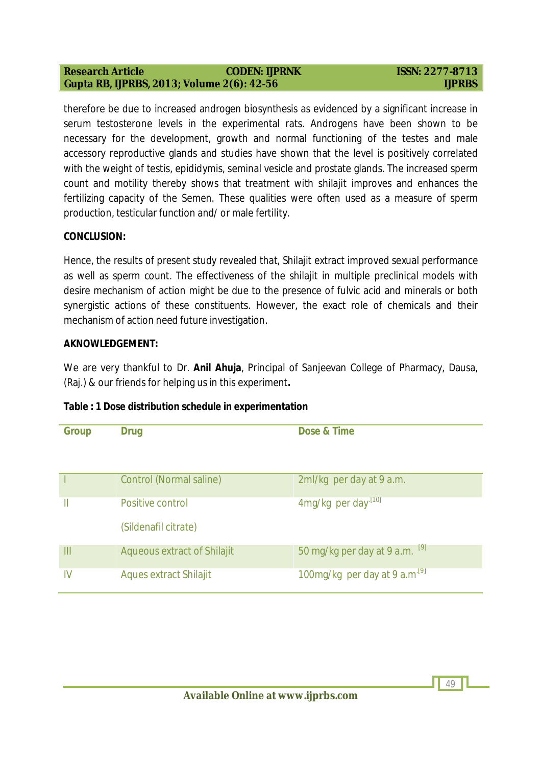49

therefore be due to increased androgen biosynthesis as evidenced by a significant increase in serum testosterone levels in the experimental rats. Androgens have been shown to be necessary for the development, growth and normal functioning of the testes and male accessory reproductive glands and studies have shown that the level is positively correlated with the weight of testis, epididymis, seminal vesicle and prostate glands. The increased sperm count and motility thereby shows that treatment with shilajit improves and enhances the fertilizing capacity of the Semen. These qualities were often used as a measure of sperm production, testicular function and/ or male fertility.

#### **CONCLUSION:**

Hence, the results of present study revealed that, Shilajit extract improved sexual performance as well as sperm count. The effectiveness of the shilajit in multiple preclinical models with desire mechanism of action might be due to the presence of fulvic acid and minerals or both synergistic actions of these constituents. However, the exact role of chemicals and their mechanism of action need future investigation.

#### **AKNOWLEDGEMENT:**

We are very thankful to Dr. **Anil Ahuja**, Principal of Sanjeevan College of Pharmacy, Dausa, (Raj.) & our friends for helping us in this experiment**.**

| <b>Group</b> | <b>Drug</b>                              | Dose & Time                         |
|--------------|------------------------------------------|-------------------------------------|
|              | <b>Control (Normal saline)</b>           | 2ml/kg per day at 9 a.m.            |
| Ш            | Positive control<br>(Sildenafil citrate) | 4mg/kg per day <sup>[10]</sup>      |
| Ш            | <b>Aqueous extract of Shilajit</b>       | 50 mg/kg per day at 9 a.m. $^{[9]}$ |
| IV           | <b>Aques extract Shilajit</b>            | 100mg/kg per day at 9 $a.m^{19}$    |

### **Table : 1 Dose distribution schedule in experimentation**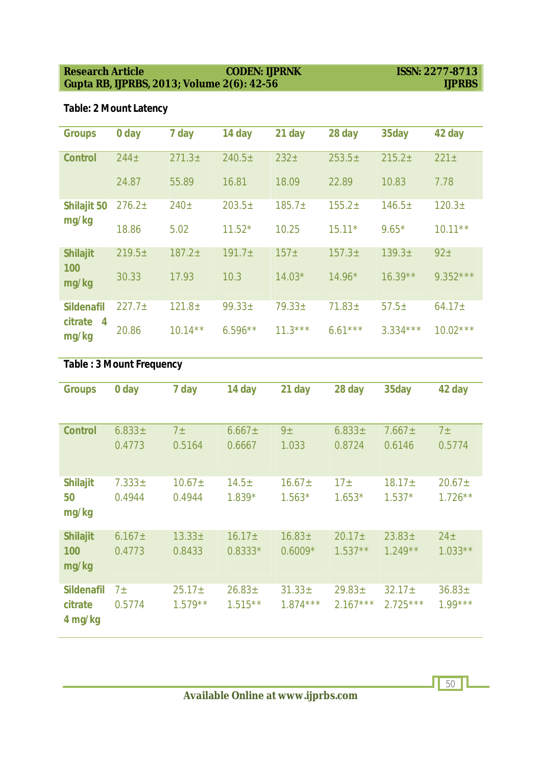# **Table: 2 Mount Latency**

| <b>Groups</b>                        | 0 day              | 7 day              | 14 day             | 21 day           | 28 day             | 35day              | 42 day             |
|--------------------------------------|--------------------|--------------------|--------------------|------------------|--------------------|--------------------|--------------------|
| <b>Control</b>                       | 244 <sub>±</sub>   | $271.3 \pm$        | 240.5 <sub>±</sub> | 232 <sub>±</sub> | $253.5+$           | 215.2 <sub>±</sub> | $221 \pm$          |
|                                      | 24.87              | 55.89              | 16.81              | 18.09            | 22.89              | 10.83              | 7.78               |
| <b>Shilajit 50</b>                   | 276.2 <sub>±</sub> | 240 <sub>±</sub>   | $203.5+$           | $185.7 \pm$      | $155.2+$           | 146.5±             | 120.3 <sub>±</sub> |
| mg/kg                                | 18.86              | 5.02               | $11.52*$           | 10.25            | $15.11*$           | $9.65*$            | $10.11***$         |
| <b>Shilajit</b>                      | 219.5±             | 187.2 <sub>±</sub> | 191.7 <sub>±</sub> | 157 <sub>±</sub> | 157.3 <sub>±</sub> | 139.3 <sub>±</sub> | 92 <sub>±</sub>    |
| 100<br>mg/kg                         | 30.33              | 17.93              | 10.3               | $14.03*$         | $14.96*$           | $16.39**$          | $9.352***$         |
| <b>Sildenafil</b>                    | 227.7 <sub>±</sub> | $121.8 \pm$        | $99.33 \pm$        | $79.33 \pm$      | $71.83 \pm$        | $57.5+$            | $64.17 \pm$        |
| citrate<br>$\boldsymbol{4}$<br>mg/kg | 20.86              | $10.14***$         | $6.596**$          | $11.3***$        | $6.61***$          | $3.334***$         | $10.02***$         |

# **Table : 3 Mount Frequency**

| <b>Groups</b>     | 0 day       | 7 day          | 14 day      | 21 day         | 28 day          | 35day       | 42 day          |
|-------------------|-------------|----------------|-------------|----------------|-----------------|-------------|-----------------|
|                   |             |                |             |                |                 |             |                 |
| <b>Control</b>    | $6.833 \pm$ | 7 <sub>±</sub> | $6.667 \pm$ | 9 <sub>±</sub> | $6.833\pm$      | $7.667 \pm$ | 7 <sub>±</sub>  |
|                   | 0.4773      | 0.5164         | 0.6667      | 1.033          | 0.8724          | 0.6146      | 0.5774          |
|                   |             |                |             |                |                 |             |                 |
| <b>Shilajit</b>   | $7.333 \pm$ | $10.67 \pm$    | $14.5 \pm$  | $16.67 \pm$    | 17 <sub>±</sub> | $18.17 \pm$ | $20.67 \pm$     |
| 50                | 0.4944      | 0.4944         | $1.839*$    | $1.563*$       | $1.653*$        | $1.537*$    | $1.726***$      |
| mg/kg             |             |                |             |                |                 |             |                 |
| <b>Shilajit</b>   | $6.167 \pm$ | $13.33\pm$     | $16.17 \pm$ | $16.83 \pm$    | $20.17 \pm$     | $23.83 \pm$ | 24 <sub>±</sub> |
| 100               | 0.4773      | 0.8433         | $0.8333*$   | $0.6009*$      | $1.537**$       | $1.249**$   | $1.033**$       |
| mg/kg             |             |                |             |                |                 |             |                 |
|                   |             |                |             |                |                 |             |                 |
| <b>Sildenafil</b> | $7\pm$      | $25.17 \pm$    | $26.83 \pm$ | $31.33 \pm$    | $29.83 \pm$     | $32.17 \pm$ | $36.83 \pm$     |
| citrate           | 0.5774      | $1.579**$      | $1.515**$   | $1.874***$     | $2.167***$      | $2.725***$  | $1.99***$       |
| 4 mg/kg           |             |                |             |                |                 |             |                 |

 $\sqrt{50}$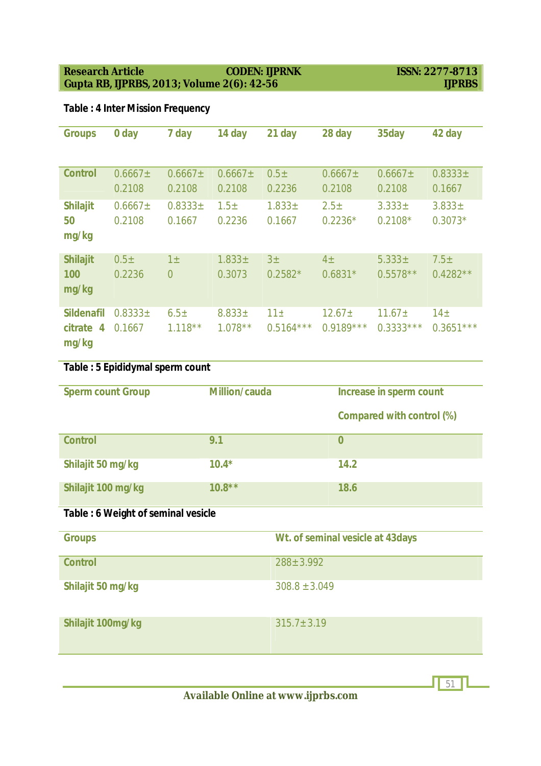#### **Research Article** CODEN: IJPRNK ISSN: 2277-8713<br>
Gupta RB, IJPRBS, 2013; Volume 2(6): 42-56 IJPRBS **Gupta RB, IJPRBS, 2013; Volume 2(6): 42-56**

# **Table : 4 Inter Mission Frequency**

| <b>Groups</b>                                           | 0 day                      | 7 day                         | 14 day                     | 21 day                         | 28 day                        | 35day                      | 42 day                         |
|---------------------------------------------------------|----------------------------|-------------------------------|----------------------------|--------------------------------|-------------------------------|----------------------------|--------------------------------|
| <b>Control</b>                                          | $0.6667 \pm$<br>0.2108     | $0.6667\pm$<br>0.2108         | $0.6667\pm$<br>0.2108      | $0.5\pm$<br>0.2236             | $0.6667\pm$<br>0.2108         | $0.6667\pm$<br>0.2108      | $0.8333 \pm$<br>0.1667         |
| <b>Shilajit</b><br>50<br>mg/kg                          | $0.6667\pm$<br>0.2108      | $0.8333 \pm$<br>0.1667        | 1.5 <sub>±</sub><br>0.2236 | $1.833 \pm$<br>0.1667          | 2.5 <sub>±</sub><br>$0.2236*$ | $3.333 \pm$<br>$0.2108*$   | $3.833 \pm$<br>$0.3073*$       |
| <b>Shilajit</b><br>100<br>mg/kg                         | 0.5 <sub>±</sub><br>0.2236 | $1\pm$<br>$\overline{0}$      | $1.833 \pm$<br>0.3073      | 3 <sub>±</sub><br>$0.2582*$    | $4\pm$<br>$0.6831*$           | $5.333\pm$<br>$0.5578**$   | $7.5\pm$<br>$0.4282**$         |
| <b>Sildenafil</b><br>citrate<br>$\overline{4}$<br>mg/kg | $0.8333 \pm$<br>0.1667     | 6.5 <sub>±</sub><br>$1.118**$ | $8.833 \pm$<br>$1.078***$  | 11 <sub>±</sub><br>$0.5164***$ | $12.67 \pm$<br>$0.9189***$    | $11.67 \pm$<br>$0.3333***$ | 14 <sub>±</sub><br>$0.3651***$ |

# **Table : 5 Epididymal sperm count**

| <b>Sperm count Group</b> | <b>Million/cauda</b> | Increase in sperm count          |
|--------------------------|----------------------|----------------------------------|
|                          |                      | <b>Compared with control (%)</b> |
| <b>Control</b>           | 9.1                  | 0                                |
| Shilajit 50 mg/kg        | $10.4*$              | 14.2                             |
| Shilajit 100 mg/kg       | $10.8**$             | 18.6                             |

#### **Table : 6 Weight of seminal vesicle**

| <b>Groups</b>     | Wt. of seminal vesicle at 43days |
|-------------------|----------------------------------|
| <b>Control</b>    | $288 \pm 3.992$                  |
| Shilajit 50 mg/kg | $308.8 \pm 3.049$                |
| Shilajit 100mg/kg | $315.7 \pm 3.19$                 |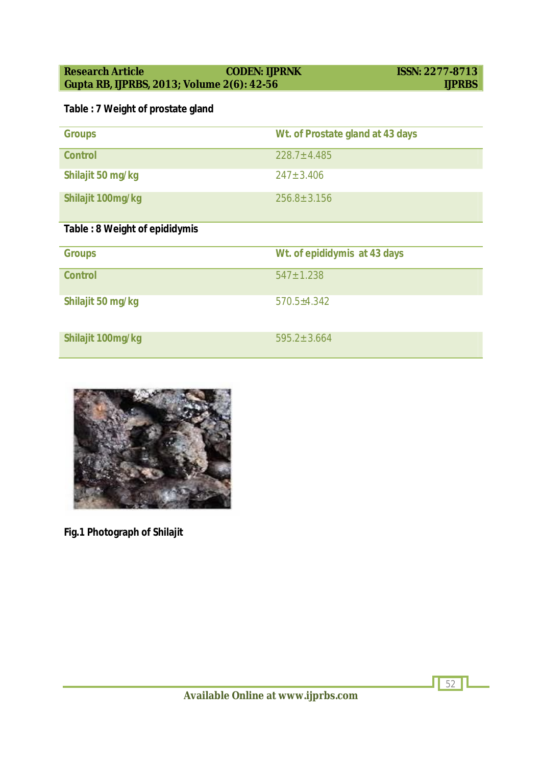# **Table : 7 Weight of prostate gland**

| <b>Groups</b>                       | Wt. of Prostate gland at 43 days |
|-------------------------------------|----------------------------------|
| <b>Control</b>                      | $228.7 + 4.485$                  |
| Shilajit 50 mg/kg                   | $247 \pm 3.406$                  |
| Shilajit 100mg/kg                   | $256.8 + 3.156$                  |
| Telele : 0 \N/eight of enidid; meio |                                  |

# **Table : 8 Weight of epididymis**

| <b>Groups</b>     | Wt. of epididymis at 43 days |
|-------------------|------------------------------|
| <b>Control</b>    | $547 \pm 1.238$              |
| Shilajit 50 mg/kg | $570.5+4.342$                |
| Shilajit 100mg/kg | $595.2 \pm 3.664$            |



**Fig.1 Photograph of Shilajit**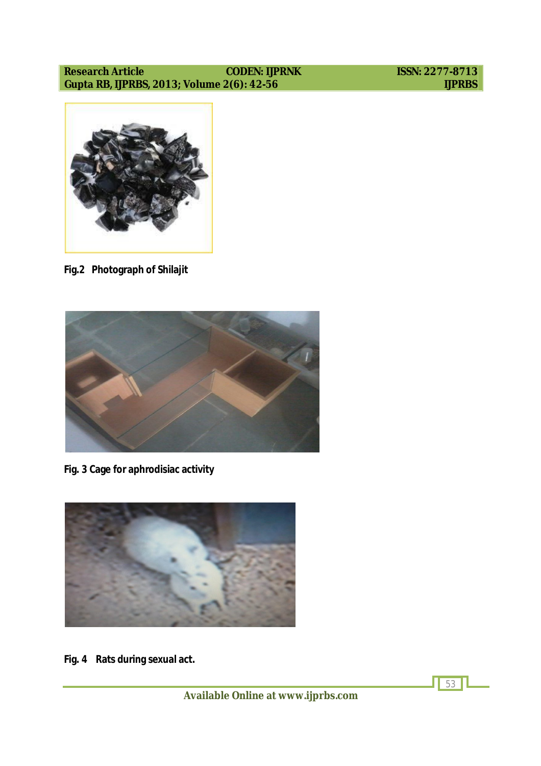

**Fig.2 Photograph of Shilajit**



**Fig. 3 Cage for aphrodisiac activity**



**Fig. 4 Rats during sexual act.**

53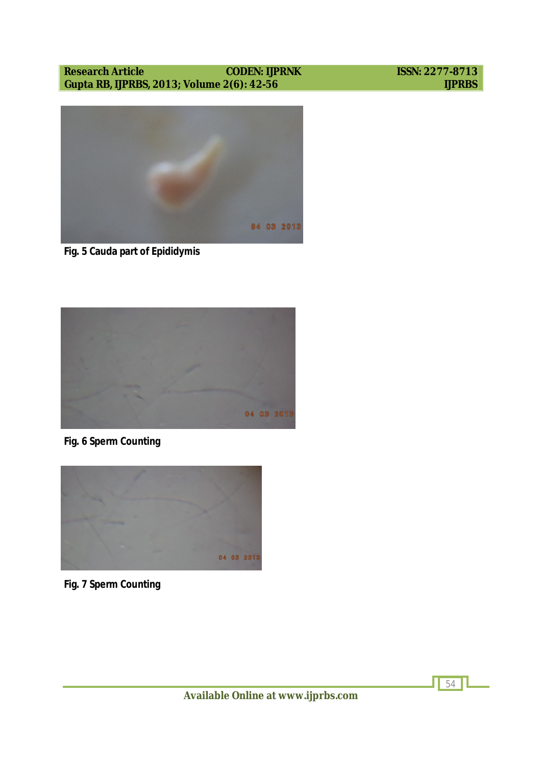#### **Research Article** CODEN: IJPRNK ISSN: 2277-8713<br>
Gupta RB, IJPRBS, 2013; Volume 2(6): 42-56 IJPRBS Gupta RB, IJPRBS, 2013; Volume 2(6): 42-56





**Fig. 5 Cauda part of Epididymis**



**Fig. 6 Sperm Counting**



**Fig. 7 Sperm Counting**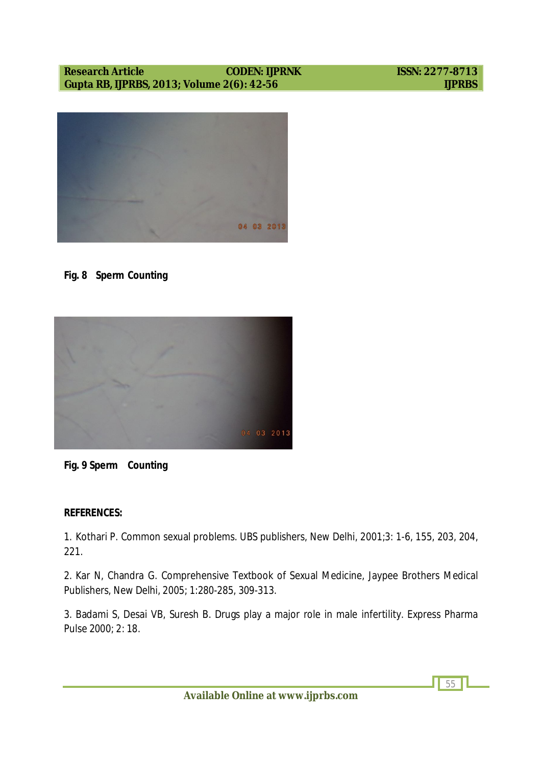

### **Fig. 8 Sperm Counting**





#### **REFERENCES:**

1. Kothari P. Common sexual problems. UBS publishers, New Delhi, 2001;3: 1-6, 155, 203, 204, 221.

2. Kar N, Chandra G. Comprehensive Textbook of Sexual Medicine, Jaypee Brothers Medical Publishers, New Delhi, 2005; 1:280-285, 309-313.

3. Badami S, Desai VB, Suresh B. Drugs play a major role in male infertility. Express Pharma Pulse 2000; 2: 18.